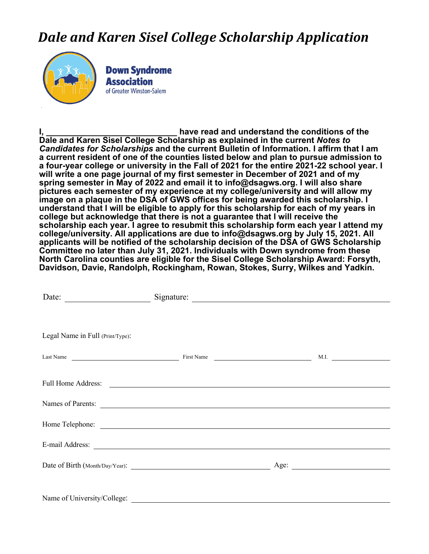## *Dale and Karen Sisel College Scholarship Application*



**Down Syndrome Association** of Greater Winston-Salem

have read and understand the conditions of the **Dale and Karen Sisel College Scholarship as explained in the current** *Notes to Candidates for Scholarships* **and the current Bulletin of Information. I affirm that I am a current resident of one of the counties listed below and plan to pursue admission to a four-year college or university in the Fall of 2021 for the entire 2021-22 school year. I will write a one page journal of my first semester in December of 2021 and of my spring semester in May of 2022 and email it to info@dsagws.org. I will also share pictures each semester of my experience at my college/university and will allow my image on a plaque in the DSA of GWS offices for being awarded this scholarship. I understand that I will be eligible to apply for this scholarship for each of my years in college but acknowledge that there is not a guarantee that I will receive the scholarship each year. I agree to resubmit this scholarship form each year I attend my college/university. All applications are due to info@dsagws.org by July 15, 2021. All applicants will be notified of the scholarship decision of the DSA of GWS Scholarship Committee no later than July 31, 2021. Individuals with Down syndrome from these North Carolina counties are eligible for the Sisel College Scholarship Award: Forsyth, Davidson, Davie, Randolph, Rockingham, Rowan, Stokes, Surry, Wilkes and Yadkin.** 

| Date:                                                                                                                                                                                                                                |                      |  |
|--------------------------------------------------------------------------------------------------------------------------------------------------------------------------------------------------------------------------------------|----------------------|--|
|                                                                                                                                                                                                                                      |                      |  |
| Legal Name in Full (Print/Type):                                                                                                                                                                                                     |                      |  |
|                                                                                                                                                                                                                                      | Last Name M.I. Manne |  |
| Full Home Address: <u>and the set of the set of the set of the set of the set of the set of the set of the set of the set of the set of the set of the set of the set of the set of the set of the set of the set of the set of </u> |                      |  |
| Names of Parents:                                                                                                                                                                                                                    |                      |  |
|                                                                                                                                                                                                                                      |                      |  |
|                                                                                                                                                                                                                                      |                      |  |
|                                                                                                                                                                                                                                      |                      |  |
|                                                                                                                                                                                                                                      |                      |  |
|                                                                                                                                                                                                                                      |                      |  |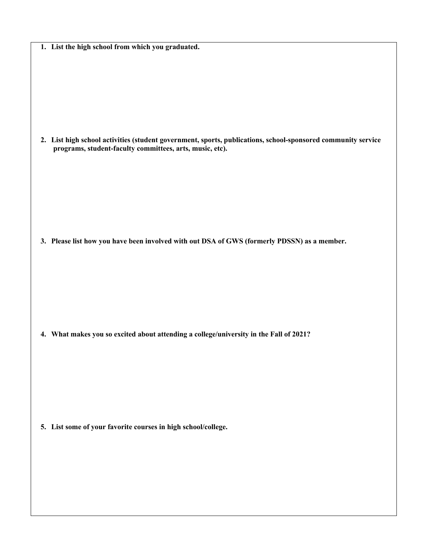|  |  |  |  |  |  |  | 1. List the high school from which you graduated. |
|--|--|--|--|--|--|--|---------------------------------------------------|
|--|--|--|--|--|--|--|---------------------------------------------------|

**2. List high school activities (student government, sports, publications, school-sponsored community service programs, student-faculty committees, arts, music, etc).**

**3. Please list how you have been involved with out DSA of GWS (formerly PDSSN) as a member.**

**4. What makes you so excited about attending a college/university in the Fall of 2021?**

**5. List some of your favorite courses in high school/college.**